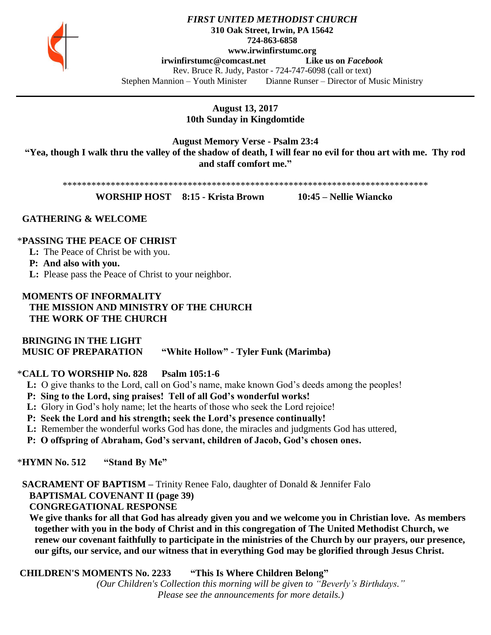

### *FIRST UNITED METHODIST CHURCH* **310 Oak Street, Irwin, PA 15642 724-863-6858 www.irwinfirstumc.org [irwinfirstumc@comcast.net](mailto:irwinfirstumc@comcast.net) Like us on** *Facebook* Rev. Bruce R. Judy, Pastor - 724-747-6098 (call or text) Stephen Mannion – Youth Minister Dianne Runser – Director of Music Ministry

**August 13, 2017 10th Sunday in Kingdomtide**

**August Memory Verse - Psalm 23:4 "Yea, though I walk thru the valley of the shadow of death, I will fear no evil for thou art with me. Thy rod and staff comfort me."**

\*\*\*\*\*\*\*\*\*\*\*\*\*\*\*\*\*\*\*\*\*\*\*\*\*\*\*\*\*\*\*\*\*\*\*\*\*\*\*\*\*\*\*\*\*\*\*\*\*\*\*\*\*\*\*\*\*\*\*\*\*\*\*\*\*\*\*\*\*\*\*\*\*\*\*\*

**WORSHIP HOST 8:15 - Krista Brown 10:45 – Nellie Wiancko**

### **GATHERING & WELCOME**

### \***PASSING THE PEACE OF CHRIST**

**L:** The Peace of Christ be with you.

**P: And also with you.**

**L:** Please pass the Peace of Christ to your neighbor.

## **MOMENTS OF INFORMALITY THE MISSION AND MINISTRY OF THE CHURCH THE WORK OF THE CHURCH**

## **BRINGING IN THE LIGHT MUSIC OF PREPARATION "White Hollow" - Tyler Funk (Marimba)**

## \***CALL TO WORSHIP No. 828 Psalm 105:1-6**

- **L:** O give thanks to the Lord, call on God's name, make known God's deeds among the peoples!
- **P: Sing to the Lord, sing praises! Tell of all God's wonderful works!**
- **L:** Glory in God's holy name; let the hearts of those who seek the Lord rejoice!
- **P: Seek the Lord and his strength; seek the Lord's presence continually!**
- **L:** Remember the wonderful works God has done, the miracles and judgments God has uttered,
- **P: O offspring of Abraham, God's servant, children of Jacob, God's chosen ones.**

\***HYMN No. 512 "Stand By Me"**

 **SACRAMENT OF BAPTISM –** Trinity Renee Falo, daughter of Donald & Jennifer Falo  **BAPTISMAL COVENANT II (page 39)**

 **CONGREGATIONAL RESPONSE**

 **We give thanks for all that God has already given you and we welcome you in Christian love. As members together with you in the body of Christ and in this congregation of The United Methodist Church, we renew our covenant faithfully to participate in the ministries of the Church by our prayers, our presence, our gifts, our service, and our witness that in everything God may be glorified through Jesus Christ.**

**CHILDREN'S MOMENTS No. 2233 "This Is Where Children Belong"**

*(Our Children's Collection this morning will be given to "Beverly's Birthdays." Please see the announcements for more details.)*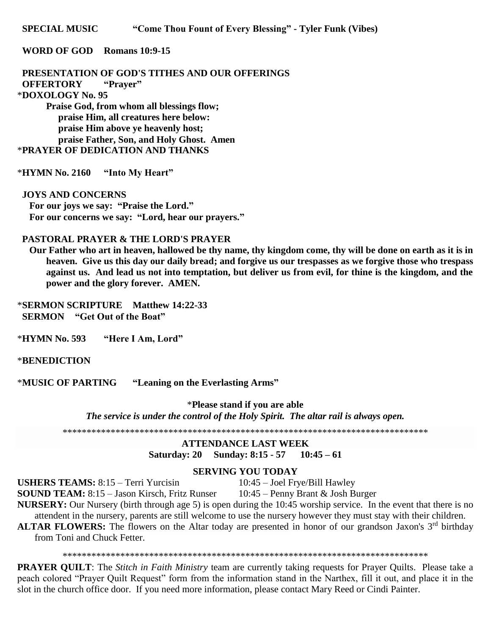**SPECIAL MUSIC "Come Thou Fount of Every Blessing" - Tyler Funk (Vibes)**

### **WORD OF GOD Romans 10:9-15**

 **PRESENTATION OF GOD'S TITHES AND OUR OFFERINGS OFFERTORY "Prayer"** \***DOXOLOGY No. 95 Praise God, from whom all blessings flow; praise Him, all creatures here below:**

 **praise Him above ye heavenly host; praise Father, Son, and Holy Ghost. Amen** \***PRAYER OF DEDICATION AND THANKS**

\***HYMN No. 2160 "Into My Heart"**

#### **JOYS AND CONCERNS**

 **For our joys we say: "Praise the Lord." For our concerns we say: "Lord, hear our prayers."**

## **PASTORAL PRAYER & THE LORD'S PRAYER**

 **Our Father who art in heaven, hallowed be thy name, thy kingdom come, thy will be done on earth as it is in heaven. Give us this day our daily bread; and forgive us our trespasses as we forgive those who trespass against us. And lead us not into temptation, but deliver us from evil, for thine is the kingdom, and the power and the glory forever. AMEN.**

\***SERMON SCRIPTURE Matthew 14:22-33 SERMON "Get Out of the Boat"**

\***HYMN No. 593 "Here I Am, Lord"**

#### \***BENEDICTION**

\***MUSIC OF PARTING "Leaning on the Everlasting Arms"**

\***Please stand if you are able** *The service is under the control of the Holy Spirit. The altar rail is always open.*

\*\*\*\*\*\*\*\*\*\*\*\*\*\*\*\*\*\*\*\*\*\*\*\*\*\*\*\*\*\*\*\*\*\*\*\*\*\*\*\*\*\*\*\*\*\*\*\*\*\*\*\*\*\*\*\*\*\*\*\*\*\*\*\*\*\*\*\*\*\*\*\*\*\*\*\*

## **ATTENDANCE LAST WEEK Saturday: 20 Sunday: 8:15 - 57 10:45 – 61**

#### **SERVING YOU TODAY**

**USHERS TEAMS:** 8:15 – Terri Yurcisin 10:45 – Joel Frye/Bill Hawley<br>**SOUND TEAM:** 8:15 – Jason Kirsch, Fritz Runser 10:45 – Penny Brant & Josh Burger

**SOUND TEAM:** 8:15 – Jason Kirsch, Fritz Runser

**NURSERY:** Our Nursery (birth through age 5) is open during the 10:45 worship service. In the event that there is no attendent in the nursery, parents are still welcome to use the nursery however they must stay with their children.

**ALTAR FLOWERS:** The flowers on the Altar today are presented in honor of our grandson Jaxon's 3<sup>rd</sup> birthday from Toni and Chuck Fetter.

\*\*\*\*\*\*\*\*\*\*\*\*\*\*\*\*\*\*\*\*\*\*\*\*\*\*\*\*\*\*\*\*\*\*\*\*\*\*\*\*\*\*\*\*\*\*\*\*\*\*\*\*\*\*\*\*\*\*\*\*\*\*\*\*\*\*\*\*\*\*\*\*\*\*\*\*

**PRAYER QUILT**: The *Stitch in Faith Ministry* team are currently taking requests for Prayer Quilts. Please take a peach colored "Prayer Quilt Request" form from the information stand in the Narthex, fill it out, and place it in the slot in the church office door. If you need more information, please contact Mary Reed or Cindi Painter.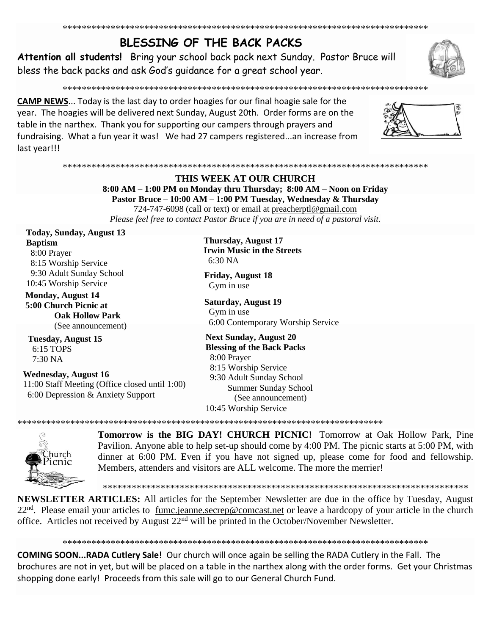# BLESSING OF THE BACK PACKS

Attention all students! Bring your school back pack next Sunday. Pastor Bruce will bless the back packs and ask God's quidance for a great school year.

**CAMP NEWS...** Today is the last day to order hoagies for our final hoagie sale for the year. The hoagies will be delivered next Sunday, August 20th. Order forms are on the table in the narthex. Thank you for supporting our campers through prayers and fundraising. What a fun year it was! We had 27 campers registered...an increase from last year!!!

## 

## THIS WEEK AT OUR CHURCH 8:00 AM - 1:00 PM on Monday thru Thursday; 8:00 AM - Noon on Friday Pastor Bruce – 10:00 AM – 1:00 PM Tuesday, Wednesday & Thursday 724-747-6098 (call or text) or email at preacherptl@gmail.com

Please feel free to contact Pastor Bruce if you are in need of a pastoral visit.

**Today, Sunday, August 13 Baptism** 8:00 Prayer 8:15 Worship Service 9:30 Adult Sunday School 10:45 Worship Service

**Monday, August 14** 5:00 Church Picnic at **Oak Hollow Park** (See announcement)

**Tuesday, August 15** 6:15 TOPS  $7:30\,NA$ 

**Wednesday, August 16** 11:00 Staff Meeting (Office closed until 1:00) 6:00 Depression & Anxiety Support

**Thursday, August 17 Irwin Music in the Streets** 6:30 NA

**Friday, August 18** Gym in use

**Saturday, August 19** Gym in use 6:00 Contemporary Worship Service

**Next Sunday, August 20 Blessing of the Back Packs** 8:00 Prayer 8:15 Worship Service 9:30 Adult Sunday School Summer Sunday School (See announcement) 10:45 Worship Service



**Tomorrow is the BIG DAY! CHURCH PICNIC!** Tomorrow at Oak Hollow Park, Pine Pavilion. Anyone able to help set-up should come by 4:00 PM. The picnic starts at 5:00 PM, with dinner at 6:00 PM. Even if you have not signed up, please come for food and fellowship. Members, attenders and visitors are ALL welcome. The more the merrier!

**NEWSLETTER ARTICLES:** All articles for the September Newsletter are due in the office by Tuesday, August 22<sup>nd</sup>. Please email your articles to fumc.jeanne.secrep@comcast.net or leave a hardcopy of your article in the church office. Articles not received by August 22<sup>nd</sup> will be printed in the October/November Newsletter.

COMING SOON...RADA Cutlery Sale! Our church will once again be selling the RADA Cutlery in the Fall. The brochures are not in yet, but will be placed on a table in the narthex along with the order forms. Get your Christmas shopping done early! Proceeds from this sale will go to our General Church Fund.



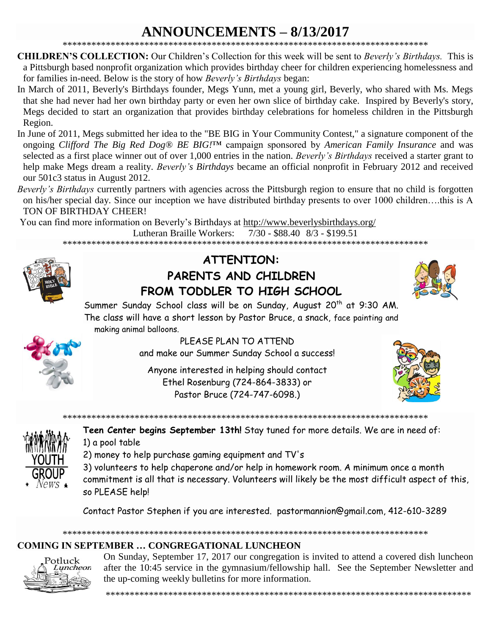# **ANNOUNCEMENTS - 8/13/2017**

- **CHILDREN'S COLLECTION:** Our Children's Collection for this week will be sent to *Beverly's Birthdays*. This is a Pittsburgh based nonprofit organization which provides birthday cheer for children experiencing homelessness and for families in-need. Below is the story of how Beverly's Birthdays began:
- In March of 2011, Beverly's Birthdays founder, Megs Yunn, met a young girl, Beverly, who shared with Ms. Megs that she had never had her own birthday party or even her own slice of birthday cake. Inspired by Beverly's story, Megs decided to start an organization that provides birthday celebrations for homeless children in the Pittsburgh Region.
- In June of 2011, Megs submitted her idea to the "BE BIG in Your Community Contest," a signature component of the ongoing Clifford The Big Red Dog® BE BIG!<sup>TM</sup> campaign sponsored by American Family Insurance and was selected as a first place winner out of over 1,000 entries in the nation. Beverly's Birthdays received a starter grant to help make Megs dream a reality. Beverly's Birthdays became an official nonprofit in February 2012 and received our 501c3 status in August 2012.
- Beverly's Birthdays currently partners with agencies across the Pittsburgh region to ensure that no child is forgotten on his/her special day. Since our inception we have distributed birthday presents to over 1000 children....this is A TON OF BIRTHDAY CHEER!

You can find more information on Beverly's Birthdays at http://www.beverlysbirthdays.org/

Lutheran Braille Workers:  $7/30 - $88.40$   $8/3 - $199.51$ 



## **ATTENTION:** PARENTS AND CHILDREN FROM TODDLER TO HIGH SCHOOL



Summer Sunday School class will be on Sunday, August 20<sup>th</sup> at 9:30 AM. The class will have a short lesson by Pastor Bruce, a snack, face painting and making animal balloons.



PLEASE PLAN TO ATTEND and make our Summer Sunday School a success!

Anyone interested in helping should contact Ethel Rosenburg (724-864-3833) or Pastor Bruce (724-747-6098.)





Teen Center begins September 13th! Stay tuned for more details. We are in need of: 1) a pool table

- 2) money to help purchase gaming equipment and TV's
- 3) volunteers to help chaperone and/or help in homework room. A minimum once a month
- commitment is all that is necessary. Volunteers will likely be the most difficult aspect of this, so PLEASE help!

Contact Pastor Stephen if you are interested. pastormannion@gmail.com, 412-610-3289

## **COMING IN SEPTEMBER ... CONGREGATIONAL LUNCHEON**



On Sunday, September 17, 2017 our congregation is invited to attend a covered dish luncheon after the 10:45 service in the gymnasium/fellowship hall. See the September Newsletter and the up-coming weekly bulletins for more information.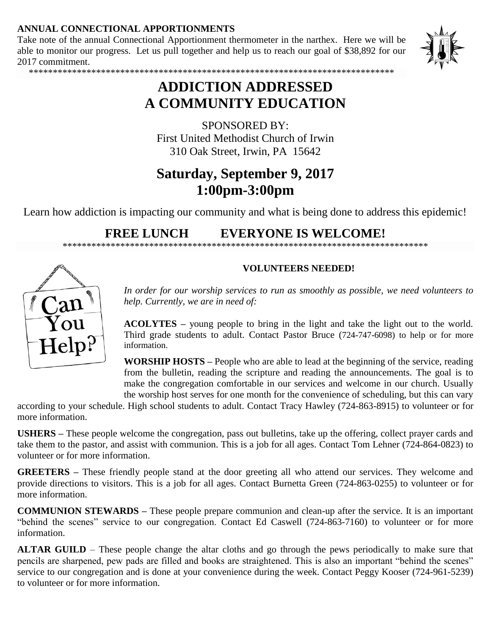## **ANNUAL CONNECTIONAL APPORTIONMENTS**

Take note of the annual Connectional Apportionment thermometer in the narthex. Here we will be able to monitor our progress. Let us pull together and help us to reach our goal of \$38,892 for our 2017 commitment.



\*\*\*\*\*\*\*\*\*\*\*\*\*\*\*\*\*\*\*\*\*\*\*\*\*\*\*\*\*\*\*\*\*\*\*\*\*\*\*\*\*\*\*\*\*\*\*\*\*\*\*\*\*\*\*\*\*\*\*\*\*\*\*\*\*\*\*\*\*\*\*\*\*\*\*\*

# **ADDICTION ADDRESSED A COMMUNITY EDUCATION**

SPONSORED BY: First United Methodist Church of Irwin 310 Oak Street, Irwin, PA 15642

# **Saturday, September 9, 2017 1:00pm-3:00pm**

Learn how addiction is impacting our community and what is being done to address this epidemic!

## **FREE LUNCH EVERYONE IS WELCOME!**

\*\*\*\*\*\*\*\*\*\*\*\*\*\*\*\*\*\*\*\*\*\*\*\*\*\*\*\*\*\*\*\*\*\*\*\*\*\*\*\*\*\*\*\*\*\*\*\*\*\*\*\*\*\*\*\*\*\*\*\*\*\*\*\*\*\*\*\*\*\*\*\*\*\*\*\*



## **VOLUNTEERS NEEDED!**

*In order for our worship services to run as smoothly as possible, we need volunteers to help. Currently, we are in need of:*

**ACOLYTES –** young people to bring in the light and take the light out to the world. Third grade students to adult. Contact Pastor Bruce (724-747-6098) to help or for more information.

**WORSHIP HOSTS –** People who are able to lead at the beginning of the service, reading from the bulletin, reading the scripture and reading the announcements. The goal is to make the congregation comfortable in our services and welcome in our church. Usually the worship host serves for one month for the convenience of scheduling, but this can vary

according to your schedule. High school students to adult. Contact Tracy Hawley (724-863-8915) to volunteer or for more information.

**USHERS –** These people welcome the congregation, pass out bulletins, take up the offering, collect prayer cards and take them to the pastor, and assist with communion. This is a job for all ages. Contact Tom Lehner (724-864-0823) to volunteer or for more information.

**GREETERS –** These friendly people stand at the door greeting all who attend our services. They welcome and provide directions to visitors. This is a job for all ages. Contact Burnetta Green (724-863-0255) to volunteer or for more information.

**COMMUNION STEWARDS –** These people prepare communion and clean-up after the service. It is an important "behind the scenes" service to our congregation. Contact Ed Caswell (724-863-7160) to volunteer or for more information.

**ALTAR GUILD** – These people change the altar cloths and go through the pews periodically to make sure that pencils are sharpened, pew pads are filled and books are straightened. This is also an important "behind the scenes" service to our congregation and is done at your convenience during the week. Contact Peggy Kooser (724-961-5239) to volunteer or for more information.